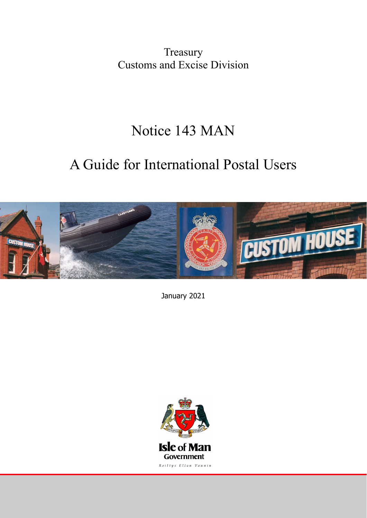Treasury Customs and Excise Division

# Notice 143 MAN

# A Guide for International Postal Users



January 2021

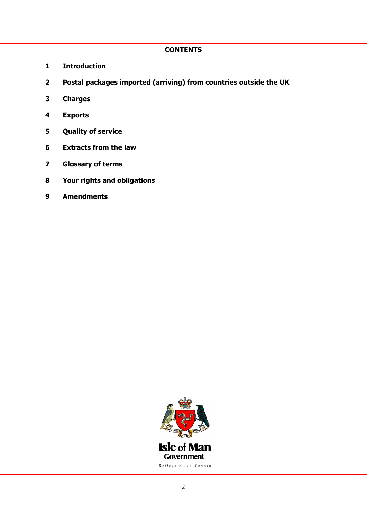# **CONTENTS**

- **1 Introduction**
- **2 Postal packages imported (arriving) from countries outside the UK**
- **3 Charges**
- **4 Exports**
- **5 Quality of service**
- **6 Extracts from the law**
- **7 Glossary of terms**
- **8 Your rights and obligations**
- **9 Amendments**

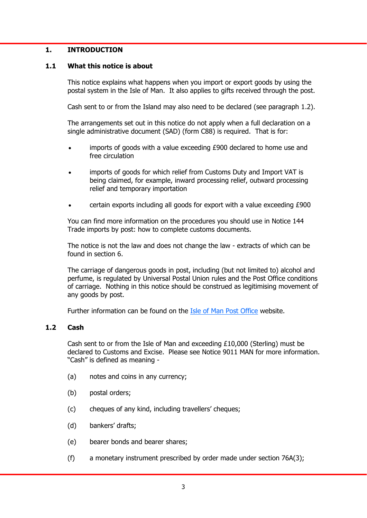## **1. INTRODUCTION**

## **1.1 What this notice is about**

 This notice explains what happens when you import or export goods by using the postal system in the Isle of Man. It also applies to gifts received through the post.

Cash sent to or from the Island may also need to be declared (see paragraph 1.2).

 The arrangements set out in this notice do not apply when a full declaration on a single administrative document (SAD) (form C88) is required. That is for:

- imports of goods with a value exceeding £900 declared to home use and free circulation
- imports of goods for which relief from Customs Duty and Import VAT is being claimed, for example, inward processing relief, outward processing relief and temporary importation
- certain exports including all goods for export with a value exceeding £900

 You can find more information on the procedures you should use in Notice 144 Trade imports by post: how to complete customs documents.

 The notice is not the law and does not change the law - extracts of which can be found in section 6.

 The carriage of dangerous goods in post, including (but not limited to) alcohol and perfume, is regulated by Universal Postal Union rules and the Post Office conditions of carriage. Nothing in this notice should be construed as legitimising movement of any goods by post.

Further information can be found on the [Isle of Man Post Office](https://www.iompost.com/) website.

## **1.2 Cash**

 Cash sent to or from the Isle of Man and exceeding £10,000 (Sterling) must be declared to Customs and Excise. Please see Notice 9011 MAN for more information. "Cash" is defined as meaning -

- (a) notes and coins in any currency;
- (b) postal orders;
- (c) cheques of any kind, including travellers' cheques;
- (d) bankers' drafts;
- (e) bearer bonds and bearer shares;
- (f) a monetary instrument prescribed by order made under section 76A(3);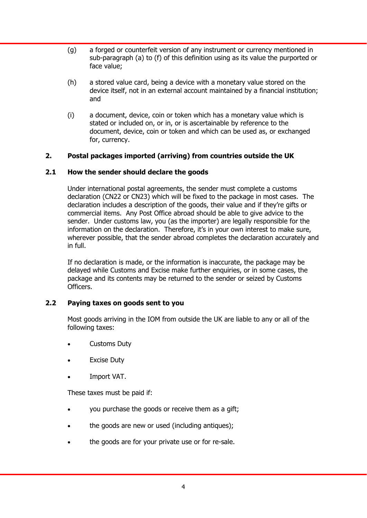- (g) a forged or counterfeit version of any instrument or currency mentioned in sub-paragraph (a) to (f) of this definition using as its value the purported or face value;
- (h) a stored value card, being a device with a monetary value stored on the device itself, not in an external account maintained by a financial institution; and
- (i) a document, device, coin or token which has a monetary value which is stated or included on, or in, or is ascertainable by reference to the document, device, coin or token and which can be used as, or exchanged for, currency.

# **2. Postal packages imported (arriving) from countries outside the UK**

# **2.1 How the sender should declare the goods**

 Under international postal agreements, the sender must complete a customs declaration (CN22 or CN23) which will be fixed to the package in most cases. The declaration includes a description of the goods, their value and if they're gifts or commercial items. Any Post Office abroad should be able to give advice to the sender. Under customs law, you (as the importer) are legally responsible for the information on the declaration. Therefore, it's in your own interest to make sure, wherever possible, that the sender abroad completes the declaration accurately and in full.

 If no declaration is made, or the information is inaccurate, the package may be delayed while Customs and Excise make further enquiries, or in some cases, the package and its contents may be returned to the sender or seized by Customs Officers.

# **2.2 Paying taxes on goods sent to you**

 Most goods arriving in the IOM from outside the UK are liable to any or all of the following taxes:

- Customs Duty
- Excise Duty
- Import VAT.

These taxes must be paid if:

- you purchase the goods or receive them as a gift;
- the goods are new or used (including antiques);
- the goods are for your private use or for re-sale.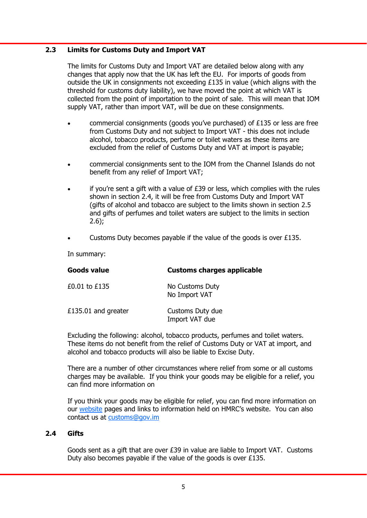## **2.3 Limits for Customs Duty and Import VAT**

 The limits for Customs Duty and Import VAT are detailed below along with any changes that apply now that the UK has left the EU. For imports of goods from outside the UK in consignments not exceeding £135 in value (which aligns with the threshold for customs duty liability), we have moved the point at which VAT is collected from the point of importation to the point of sale. This will mean that IOM supply VAT, rather than import VAT, will be due on these consignments.

- commercial consignments (goods you've purchased) of £135 or less are free from Customs Duty and not subject to Import VAT - this does not include alcohol, tobacco products, perfume or toilet waters as these items are excluded from the relief of Customs Duty and VAT at import is payable;
- commercial consignments sent to the IOM from the Channel Islands do not benefit from any relief of Import VAT;
- if you're sent a gift with a value of  $E39$  or less, which complies with the rules shown in section 2.4, it will be free from Customs Duty and Import VAT (gifts of alcohol and tobacco are subject to the limits shown in section 2.5 and gifts of perfumes and toilet waters are subject to the limits in section  $2.6$ ;
- Customs Duty becomes payable if the value of the goods is over £135.

In summary:

| <b>Customs charges applicable</b>  |
|------------------------------------|
| No Customs Duty<br>No Import VAT   |
| Customs Duty due<br>Import VAT due |
|                                    |

 Excluding the following: alcohol, tobacco products, perfumes and toilet waters. These items do not benefit from the relief of Customs Duty or VAT at import, and alcohol and tobacco products will also be liable to Excise Duty.

 There are a number of other circumstances where relief from some or all customs charges may be available. If you think your goods may be eligible for a relief, you can find more information on

 If you think your goods may be eligible for relief, you can find more information on our [website](https://www.gov.im/categories/tax-vat-and-your-money/customs-and-excise/public-notices/) pages and links to information held on HMRC's website. You can also contact us at customs@gov.im

## **2.4 Gifts**

 Goods sent as a gift that are over £39 in value are liable to Import VAT. Customs Duty also becomes payable if the value of the goods is over £135.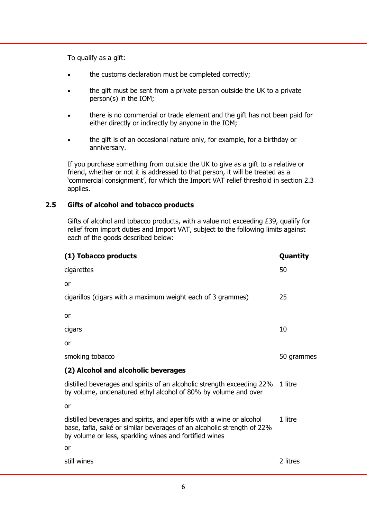To qualify as a gift:

- the customs declaration must be completed correctly;
- the gift must be sent from a private person outside the UK to a private person(s) in the IOM;
- there is no commercial or trade element and the gift has not been paid for either directly or indirectly by anyone in the IOM;
- the gift is of an occasional nature only, for example, for a birthday or anniversary.

 If you purchase something from outside the UK to give as a gift to a relative or friend, whether or not it is addressed to that person, it will be treated as a 'commercial consignment', for which the Import VAT relief threshold in section 2.3 applies.

# **2.5 Gifts of alcohol and tobacco products**

 Gifts of alcohol and tobacco products, with a value not exceeding £39, qualify for relief from import duties and Import VAT, subject to the following limits against each of the goods described below:

| (1) Tobacco products                                                                                                                                                                                      | Quantity   |
|-----------------------------------------------------------------------------------------------------------------------------------------------------------------------------------------------------------|------------|
| cigarettes                                                                                                                                                                                                | 50         |
| or                                                                                                                                                                                                        |            |
| cigarillos (cigars with a maximum weight each of 3 grammes)                                                                                                                                               | 25         |
| or                                                                                                                                                                                                        |            |
| cigars                                                                                                                                                                                                    | 10         |
| or                                                                                                                                                                                                        |            |
| smoking tobacco                                                                                                                                                                                           | 50 grammes |
| (2) Alcohol and alcoholic beverages                                                                                                                                                                       |            |
| distilled beverages and spirits of an alcoholic strength exceeding 22%<br>by volume, undenatured ethyl alcohol of 80% by volume and over                                                                  | 1 litre    |
| or                                                                                                                                                                                                        |            |
| distilled beverages and spirits, and aperitifs with a wine or alcohol<br>base, tafia, saké or similar beverages of an alcoholic strength of 22%<br>by volume or less, sparkling wines and fortified wines | 1 litre    |
| <b>or</b>                                                                                                                                                                                                 |            |
| still wines                                                                                                                                                                                               | 2 litres   |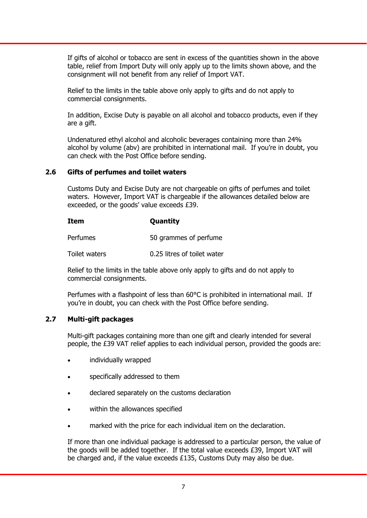If gifts of alcohol or tobacco are sent in excess of the quantities shown in the above table, relief from Import Duty will only apply up to the limits shown above, and the consignment will not benefit from any relief of Import VAT.

 Relief to the limits in the table above only apply to gifts and do not apply to commercial consignments.

 In addition, Excise Duty is payable on all alcohol and tobacco products, even if they are a gift.

 Undenatured ethyl alcohol and alcoholic beverages containing more than 24% alcohol by volume (abv) are prohibited in international mail. If you're in doubt, you can check with the Post Office before sending.

## **2.6 Gifts of perfumes and toilet waters**

 Customs Duty and Excise Duty are not chargeable on gifts of perfumes and toilet waters. However, Import VAT is chargeable if the allowances detailed below are exceeded, or the goods' value exceeds £39.

## **Item Quantity**

Perfumes 50 grammes of perfume

Toilet waters 0.25 litres of toilet water

 Relief to the limits in the table above only apply to gifts and do not apply to commercial consignments.

 Perfumes with a flashpoint of less than 60°C is prohibited in international mail. If you're in doubt, you can check with the Post Office before sending.

# **2.7 Multi-gift packages**

 Multi-gift packages containing more than one gift and clearly intended for several people, the £39 VAT relief applies to each individual person, provided the goods are:

- individually wrapped
- specifically addressed to them
- declared separately on the customs declaration
- within the allowances specified
- marked with the price for each individual item on the declaration.

 If more than one individual package is addressed to a particular person, the value of the goods will be added together. If the total value exceeds £39, Import VAT will be charged and, if the value exceeds £135, Customs Duty may also be due.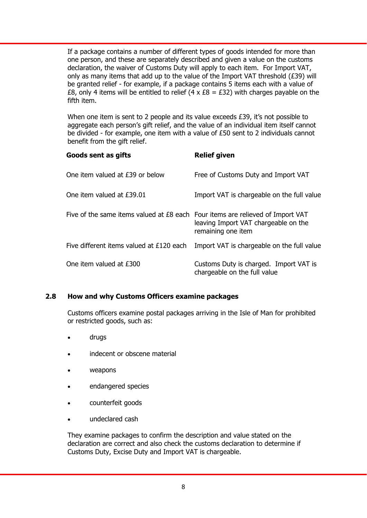If a package contains a number of different types of goods intended for more than one person, and these are separately described and given a value on the customs declaration, the waiver of Customs Duty will apply to each item. For Import VAT, only as many items that add up to the value of the Import VAT threshold  $(E39)$  will be granted relief - for example, if a package contains 5 items each with a value of £8, only 4 items will be entitled to relief (4 x  $£8 = £32$ ) with charges payable on the fifth item.

When one item is sent to 2 people and its value exceeds £39, it's not possible to aggregate each person's gift relief, and the value of an individual item itself cannot be divided - for example, one item with a value of £50 sent to 2 individuals cannot benefit from the gift relief.

| Goods sent as gifts                                                            | <b>Relief given</b>                                                    |
|--------------------------------------------------------------------------------|------------------------------------------------------------------------|
| One item valued at £39 or below                                                | Free of Customs Duty and Import VAT                                    |
| One item valued at £39.01                                                      | Import VAT is chargeable on the full value                             |
| Five of the same items valued at £8 each Four items are relieved of Import VAT | leaving Import VAT chargeable on the<br>remaining one item             |
| Five different items valued at £120 each                                       | Import VAT is chargeable on the full value                             |
| One item valued at £300                                                        | Customs Duty is charged. Import VAT is<br>chargeable on the full value |

# **2.8 How and why Customs Officers examine packages**

 Customs officers examine postal packages arriving in the Isle of Man for prohibited or restricted goods, such as:

- drugs
- indecent or obscene material
- weapons
- endangered species
- counterfeit goods
- undeclared cash

 They examine packages to confirm the description and value stated on the declaration are correct and also check the customs declaration to determine if Customs Duty, Excise Duty and Import VAT is chargeable.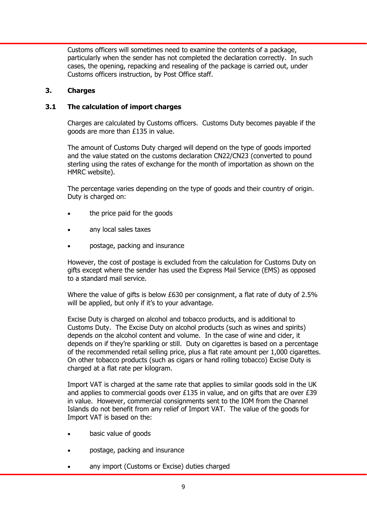Customs officers will sometimes need to examine the contents of a package, particularly when the sender has not completed the declaration correctly. In such cases, the opening, repacking and resealing of the package is carried out, under Customs officers instruction, by Post Office staff.

# **3. Charges**

# **3.1 The calculation of import charges**

 Charges are calculated by Customs officers. Customs Duty becomes payable if the goods are more than £135 in value.

 The amount of Customs Duty charged will depend on the type of goods imported and the value stated on the customs declaration CN22/CN23 (converted to pound sterling using the rates of exchange for the month of importation as shown on the HMRC website).

 The percentage varies depending on the type of goods and their country of origin. Duty is charged on:

- the price paid for the goods
- any local sales taxes
- postage, packing and insurance

 However, the cost of postage is excluded from the calculation for Customs Duty on gifts except where the sender has used the Express Mail Service (EMS) as opposed to a standard mail service.

 Where the value of gifts is below £630 per consignment, a flat rate of duty of 2.5% will be applied, but only if it's to your advantage.

 Excise Duty is charged on alcohol and tobacco products, and is additional to Customs Duty. The Excise Duty on alcohol products (such as wines and spirits) depends on the alcohol content and volume. In the case of wine and cider, it depends on if they're sparkling or still. Duty on cigarettes is based on a percentage of the recommended retail selling price, plus a flat rate amount per 1,000 cigarettes. On other tobacco products (such as cigars or hand rolling tobacco) Excise Duty is charged at a flat rate per kilogram.

 Import VAT is charged at the same rate that applies to similar goods sold in the UK and applies to commercial goods over £135 in value, and on gifts that are over £39 in value. However, commercial consignments sent to the IOM from the Channel Islands do not benefit from any relief of Import VAT. The value of the goods for Import VAT is based on the:

- basic value of goods
- postage, packing and insurance
- any import (Customs or Excise) duties charged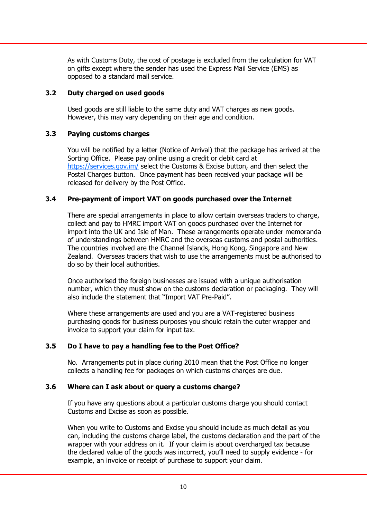As with Customs Duty, the cost of postage is excluded from the calculation for VAT on gifts except where the sender has used the Express Mail Service (EMS) as opposed to a standard mail service.

# **3.2 Duty charged on used goods**

 Used goods are still liable to the same duty and VAT charges as new goods. However, this may vary depending on their age and condition.

# **3.3 Paying customs charges**

 You will be notified by a letter (Notice of Arrival) that the package has arrived at the Sorting Office. Please pay online using a credit or debit card at https://services.gov.im/ select the Customs & Excise button, and then select the Postal Charges button. Once payment has been received your package will be released for delivery by the Post Office.

# **3.4 Pre-payment of import VAT on goods purchased over the Internet**

 There are special arrangements in place to allow certain overseas traders to charge, collect and pay to HMRC import VAT on goods purchased over the Internet for import into the UK and Isle of Man. These arrangements operate under memoranda of understandings between HMRC and the overseas customs and postal authorities. The countries involved are the Channel Islands, Hong Kong, Singapore and New Zealand. Overseas traders that wish to use the arrangements must be authorised to do so by their local authorities.

 Once authorised the foreign businesses are issued with a unique authorisation number, which they must show on the customs declaration or packaging. They will also include the statement that "Import VAT Pre-Paid".

 Where these arrangements are used and you are a VAT-registered business purchasing goods for business purposes you should retain the outer wrapper and invoice to support your claim for input tax.

# **3.5 Do I have to pay a handling fee to the Post Office?**

 No. Arrangements put in place during 2010 mean that the Post Office no longer collects a handling fee for packages on which customs charges are due.

# **3.6 Where can I ask about or query a customs charge?**

 If you have any questions about a particular customs charge you should contact Customs and Excise as soon as possible.

 When you write to Customs and Excise you should include as much detail as you can, including the customs charge label, the customs declaration and the part of the wrapper with your address on it. If your claim is about overcharged tax because the declared value of the goods was incorrect, you'll need to supply evidence - for example, an invoice or receipt of purchase to support your claim.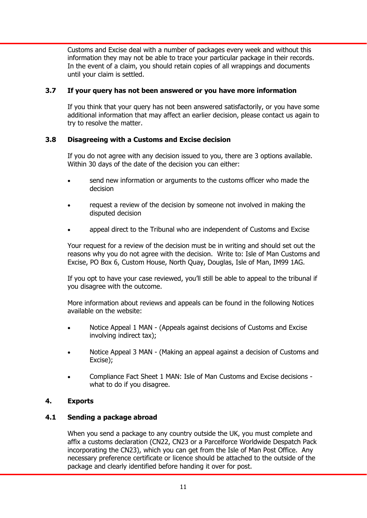Customs and Excise deal with a number of packages every week and without this information they may not be able to trace your particular package in their records. In the event of a claim, you should retain copies of all wrappings and documents until your claim is settled.

## **3.7 If your query has not been answered or you have more information**

 If you think that your query has not been answered satisfactorily, or you have some additional information that may affect an earlier decision, please contact us again to try to resolve the matter.

# **3.8 Disagreeing with a Customs and Excise decision**

 If you do not agree with any decision issued to you, there are 3 options available. Within 30 days of the date of the decision you can either:

- send new information or arguments to the customs officer who made the decision
- request a review of the decision by someone not involved in making the disputed decision
- appeal direct to the Tribunal who are independent of Customs and Excise

 Your request for a review of the decision must be in writing and should set out the reasons why you do not agree with the decision. Write to: Isle of Man Customs and Excise, PO Box 6, Custom House, North Quay, Douglas, Isle of Man, IM99 1AG.

 If you opt to have your case reviewed, you'll still be able to appeal to the tribunal if you disagree with the outcome.

 More information about reviews and appeals can be found in the following Notices available on the website:

- Notice Appeal 1 MAN (Appeals against decisions of Customs and Excise involving indirect tax);
- Notice Appeal 3 MAN (Making an appeal against a decision of Customs and Excise);
- Compliance Fact Sheet 1 MAN: Isle of Man Customs and Excise decisions what to do if you disagree.

# **4. Exports**

# **4.1 Sending a package abroad**

 When you send a package to any country outside the UK, you must complete and affix a customs declaration (CN22, CN23 or a Parcelforce Worldwide Despatch Pack incorporating the CN23), which you can get from the Isle of Man Post Office. Any necessary preference certificate or licence should be attached to the outside of the package and clearly identified before handing it over for post.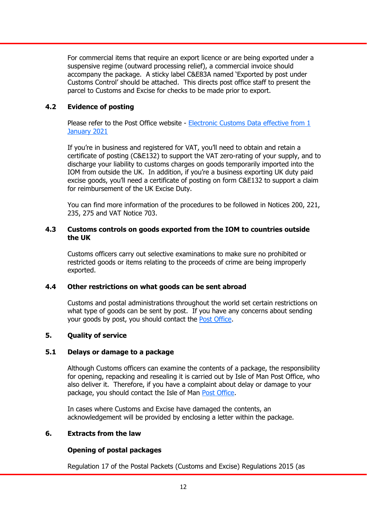For commercial items that require an export licence or are being exported under a suspensive regime (outward processing relief), a commercial invoice should accompany the package. A sticky label C&E83A named 'Exported by post under Customs Control' should be attached. This directs post office staff to present the parcel to Customs and Excise for checks to be made prior to export.

## **4.2 Evidence of posting**

 [Please refer to the Post Office website - Electronic Customs Data effective from 1](https://www.iompost.com/for-you/sending-mail/electronic-customs-data---effective-from-1st-january-2021/)  January 2021

 If you're in business and registered for VAT, you'll need to obtain and retain a certificate of posting (C&E132) to support the VAT zero-rating of your supply, and to discharge your liability to customs charges on goods temporarily imported into the IOM from outside the UK. In addition, if you're a business exporting UK duty paid excise goods, you'll need a certificate of posting on form C&E132 to support a claim for reimbursement of the UK Excise Duty.

 You can find more information of the procedures to be followed in Notices 200, 221, 235, 275 and VAT Notice 703.

## **4.3 Customs controls on goods exported from the IOM to countries outside the UK**

 Customs officers carry out selective examinations to make sure no prohibited or restricted goods or items relating to the proceeds of crime are being improperly exported.

## **4.4 Other restrictions on what goods can be sent abroad**

 Customs and postal administrations throughout the world set certain restrictions on what type of goods can be sent by post. If you have any concerns about sending your goods by post, you should contact the [Post Office.](https://www.iompost.com/)

## **5. Quality of service**

## **5.1 Delays or damage to a package**

 Although Customs officers can examine the contents of a package, the responsibility for opening, repacking and resealing it is carried out by Isle of Man Post Office, who also deliver it. Therefore, if you have a complaint about delay or damage to your package, you should contact the Isle of Man [Post Office.](https://www.iompost.com/)

 In cases where Customs and Excise have damaged the contents, an acknowledgement will be provided by enclosing a letter within the package.

## **6. Extracts from the law**

# **Opening of postal packages**

Regulation 17 of the Postal Packets (Customs and Excise) Regulations 2015 (as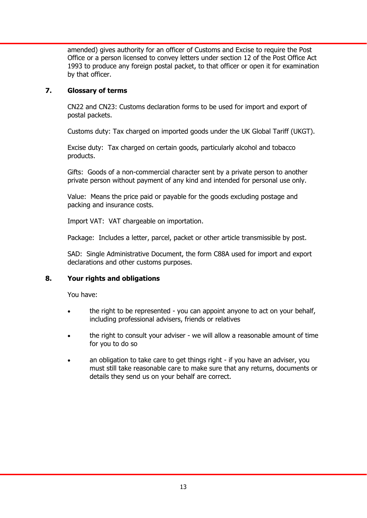amended) gives authority for an officer of Customs and Excise to require the Post Office or a person licensed to convey letters under section 12 of the Post Office Act 1993 to produce any foreign postal packet, to that officer or open it for examination by that officer.

# **7. Glossary of terms**

 CN22 and CN23: Customs declaration forms to be used for import and export of postal packets.

Customs duty: Tax charged on imported goods under the UK Global Tariff (UKGT).

 Excise duty: Tax charged on certain goods, particularly alcohol and tobacco products.

 Gifts: Goods of a non-commercial character sent by a private person to another private person without payment of any kind and intended for personal use only.

 Value: Means the price paid or payable for the goods excluding postage and packing and insurance costs.

Import VAT: VAT chargeable on importation.

Package: Includes a letter, parcel, packet or other article transmissible by post.

 SAD: Single Administrative Document, the form C88A used for import and export declarations and other customs purposes.

# **8. Your rights and obligations**

You have:

- the right to be represented you can appoint anyone to act on your behalf, including professional advisers, friends or relatives
- the right to consult your adviser we will allow a reasonable amount of time for you to do so
- an obligation to take care to get things right if you have an adviser, you must still take reasonable care to make sure that any returns, documents or details they send us on your behalf are correct.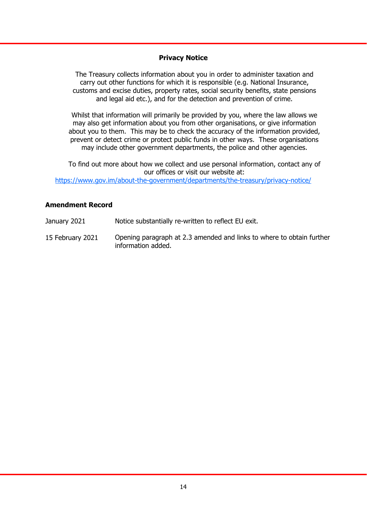## **Privacy Notice**

The Treasury collects information about you in order to administer taxation and carry out other functions for which it is responsible (e.g. National Insurance, customs and excise duties, property rates, social security benefits, state pensions and legal aid etc.), and for the detection and prevention of crime.

Whilst that information will primarily be provided by you, where the law allows we may also get information about you from other organisations, or give information about you to them. This may be to check the accuracy of the information provided, prevent or detect crime or protect public funds in other ways. These organisations may include other government departments, the police and other agencies.

To find out more about how we collect and use personal information, contact any of our offices or visit our website at:

https://www.gov.im/about-the-government/departments/the-treasury/privacy-notice/

## **Amendment Record**

January 2021 Notice substantially re-written to reflect EU exit.

15 February 2021 Opening paragraph at 2.3 amended and links to where to obtain further information added.